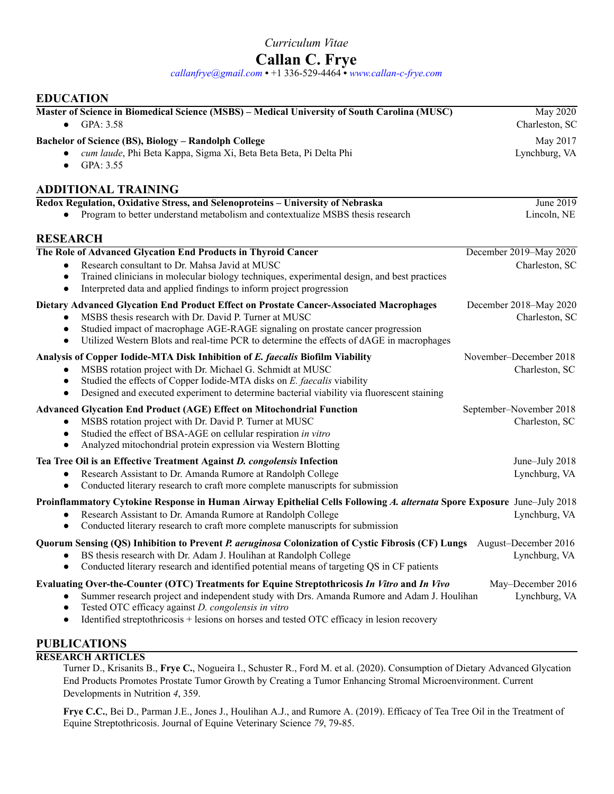*Curriculum Vitae* 

# **Callan C. Frye**

*[callanfrye@gmail.com](mailto:callanfrye@gmail.com)* **•** +1 336-529-4464 **•** *[www.callan-c-frye.com](https://www.callan-c-frye.com/)*

# **EDUCATION**

| Master of Science in Biomedical Science (MSBS) - Medical University of South Carolina (MUSC)<br>GPA: 3.58                                                                                                                                                                              | <b>May 2020</b><br>Charleston, SC |
|----------------------------------------------------------------------------------------------------------------------------------------------------------------------------------------------------------------------------------------------------------------------------------------|-----------------------------------|
| Bachelor of Science (BS), Biology - Randolph College                                                                                                                                                                                                                                   | May 2017                          |
| cum laude, Phi Beta Kappa, Sigma Xi, Beta Beta Beta, Pi Delta Phi<br>GPA: 3.55<br>$\bullet$                                                                                                                                                                                            | Lynchburg, VA                     |
| <b>ADDITIONAL TRAINING</b>                                                                                                                                                                                                                                                             |                                   |
| Redox Regulation, Oxidative Stress, and Selenoproteins - University of Nebraska                                                                                                                                                                                                        | June 2019                         |
| Program to better understand metabolism and contextualize MSBS thesis research                                                                                                                                                                                                         | Lincoln, NE                       |
| <b>RESEARCH</b>                                                                                                                                                                                                                                                                        |                                   |
| The Role of Advanced Glycation End Products in Thyroid Cancer                                                                                                                                                                                                                          | December 2019-May 2020            |
| Research consultant to Dr. Mahsa Javid at MUSC<br>$\bullet$                                                                                                                                                                                                                            | Charleston, SC                    |
| Trained clinicians in molecular biology techniques, experimental design, and best practices<br>$\bullet$<br>Interpreted data and applied findings to inform project progression<br>$\bullet$                                                                                           |                                   |
| Dietary Advanced Glycation End Product Effect on Prostate Cancer-Associated Macrophages                                                                                                                                                                                                | December 2018-May 2020            |
| MSBS thesis research with Dr. David P. Turner at MUSC                                                                                                                                                                                                                                  | Charleston, SC                    |
| Studied impact of macrophage AGE-RAGE signaling on prostate cancer progression<br>Utilized Western Blots and real-time PCR to determine the effects of dAGE in macrophages<br>$\bullet$                                                                                                |                                   |
| Analysis of Copper Iodide-MTA Disk Inhibition of E. faecalis Biofilm Viability                                                                                                                                                                                                         | November-December 2018            |
| MSBS rotation project with Dr. Michael G. Schmidt at MUSC<br>$\bullet$                                                                                                                                                                                                                 | Charleston, SC                    |
| Studied the effects of Copper Iodide-MTA disks on E. faecalis viability<br>$\bullet$<br>Designed and executed experiment to determine bacterial viability via fluorescent staining<br>$\bullet$                                                                                        |                                   |
| <b>Advanced Glycation End Product (AGE) Effect on Mitochondrial Function</b>                                                                                                                                                                                                           | September-November 2018           |
| MSBS rotation project with Dr. David P. Turner at MUSC<br>$\bullet$                                                                                                                                                                                                                    | Charleston, SC                    |
| Studied the effect of BSA-AGE on cellular respiration in vitro<br>$\bullet$<br>Analyzed mitochondrial protein expression via Western Blotting<br>$\bullet$                                                                                                                             |                                   |
| Tea Tree Oil is an Effective Treatment Against D. congolensis Infection                                                                                                                                                                                                                | June-July 2018                    |
| Research Assistant to Dr. Amanda Rumore at Randolph College<br>$\bullet$<br>Conducted literary research to craft more complete manuscripts for submission<br>$\bullet$                                                                                                                 | Lynchburg, VA                     |
| Proinflammatory Cytokine Response in Human Airway Epithelial Cells Following A. alternata Spore Exposure June-July 2018                                                                                                                                                                |                                   |
| Research Assistant to Dr. Amanda Rumore at Randolph College<br>Conducted literary research to craft more complete manuscripts for submission<br>$\bullet$                                                                                                                              | Lynchburg, VA                     |
| Quorum Sensing (QS) Inhibition to Prevent P. aeruginosa Colonization of Cystic Fibrosis (CF) Lungs August-December 2016                                                                                                                                                                |                                   |
| BS thesis research with Dr. Adam J. Houlihan at Randolph College<br>Conducted literary research and identified potential means of targeting QS in CF patients                                                                                                                          | Lynchburg, VA                     |
| Evaluating Over-the-Counter (OTC) Treatments for Equine Streptothricosis In Vitro and In Vivo                                                                                                                                                                                          | May-December 2016                 |
| Summer research project and independent study with Drs. Amanda Rumore and Adam J. Houlihan<br>$\bullet$<br>Tested OTC efficacy against D. congolensis in vitro<br>$\bullet$<br>Identified streptothricosis + lesions on horses and tested OTC efficacy in lesion recovery<br>$\bullet$ | Lynchburg, VA                     |
| <b>PUBLICATIONS</b>                                                                                                                                                                                                                                                                    |                                   |

# **RESEARCH ARTICLES**

Turner D., Krisanits B., **Frye C.**, Nogueira I., Schuster R., Ford M. et al. (2020). Consumption of Dietary Advanced Glycation End Products Promotes Prostate Tumor Growth by Creating a Tumor Enhancing Stromal Microenvironment. Current Developments in Nutrition *4*, 359.

**Frye C.C.**, Bei D., Parman J.E., Jones J., Houlihan A.J., and Rumore A. (2019). Efficacy of Tea Tree Oil in the Treatment of Equine Streptothricosis. Journal of Equine Veterinary Science *79*, 79-85.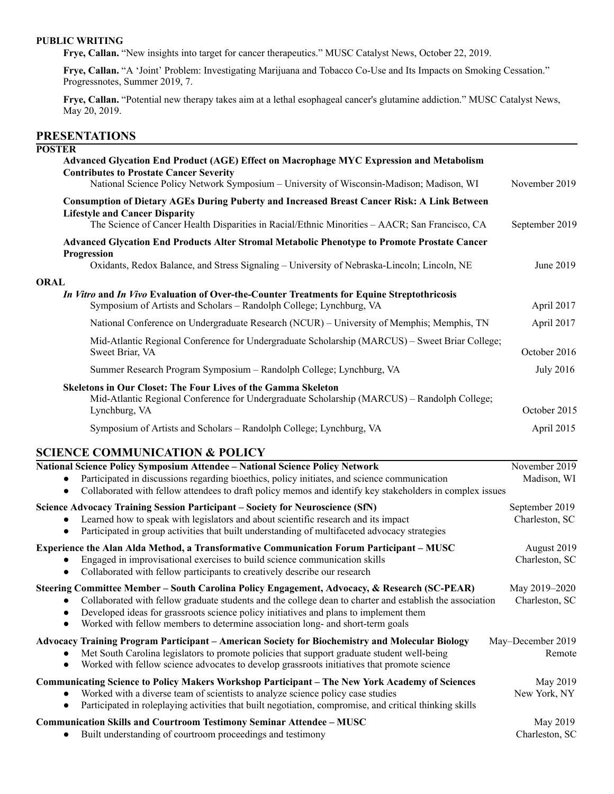## **PUBLIC WRITING**

**Frye, Callan.** "New insights into target for cancer therapeutics." MUSC Catalyst News, October 22, 2019.

**Frye, Callan.** "A 'Joint' Problem: Investigating Marijuana and Tobacco Co-Use and Its Impacts on Smoking Cessation." Progressnotes, Summer 2019, 7.

**Frye, Callan.** "Potential new therapy takes aim at a lethal esophageal cancer's glutamine addiction." MUSC Catalyst News, May 20, 2019.

# **PRESENTATIONS**

| <b>POSTER</b> | Advanced Glycation End Product (AGE) Effect on Macrophage MYC Expression and Metabolism<br><b>Contributes to Prostate Cancer Severity</b><br>National Science Policy Network Symposium - University of Wisconsin-Madison; Madison, WI                                                                                                                                               | November 2019                    |
|---------------|-------------------------------------------------------------------------------------------------------------------------------------------------------------------------------------------------------------------------------------------------------------------------------------------------------------------------------------------------------------------------------------|----------------------------------|
|               | <b>Consumption of Dietary AGEs During Puberty and Increased Breast Cancer Risk: A Link Between</b><br><b>Lifestyle and Cancer Disparity</b><br>The Science of Cancer Health Disparities in Racial/Ethnic Minorities - AACR; San Francisco, CA                                                                                                                                       | September 2019                   |
|               | Advanced Glycation End Products Alter Stromal Metabolic Phenotype to Promote Prostate Cancer<br>Progression<br>Oxidants, Redox Balance, and Stress Signaling - University of Nebraska-Lincoln; Lincoln, NE                                                                                                                                                                          | June 2019                        |
| <b>ORAL</b>   | In Vitro and In Vivo Evaluation of Over-the-Counter Treatments for Equine Streptothricosis<br>Symposium of Artists and Scholars - Randolph College; Lynchburg, VA                                                                                                                                                                                                                   | April 2017                       |
|               | National Conference on Undergraduate Research (NCUR) - University of Memphis; Memphis, TN                                                                                                                                                                                                                                                                                           | April 2017                       |
|               | Mid-Atlantic Regional Conference for Undergraduate Scholarship (MARCUS) – Sweet Briar College;<br>Sweet Briar, VA                                                                                                                                                                                                                                                                   | October 2016                     |
|               | Summer Research Program Symposium - Randolph College; Lynchburg, VA                                                                                                                                                                                                                                                                                                                 | <b>July 2016</b>                 |
|               | <b>Skeletons in Our Closet: The Four Lives of the Gamma Skeleton</b><br>Mid-Atlantic Regional Conference for Undergraduate Scholarship (MARCUS) – Randolph College;<br>Lynchburg, VA                                                                                                                                                                                                | October 2015                     |
|               | Symposium of Artists and Scholars - Randolph College; Lynchburg, VA                                                                                                                                                                                                                                                                                                                 | April 2015                       |
|               | <b>SCIENCE COMMUNICATION &amp; POLICY</b>                                                                                                                                                                                                                                                                                                                                           |                                  |
|               | National Science Policy Symposium Attendee - National Science Policy Network<br>Participated in discussions regarding bioethics, policy initiates, and science communication<br>Collaborated with fellow attendees to draft policy memos and identify key stakeholders in complex issues                                                                                            | November 2019<br>Madison, WI     |
|               | <b>Science Advocacy Training Session Participant – Society for Neuroscience (SfN)</b><br>Learned how to speak with legislators and about scientific research and its impact<br>Participated in group activities that built understanding of multifaceted advocacy strategies                                                                                                        | September 2019<br>Charleston, SC |
|               | Experience the Alan Alda Method, a Transformative Communication Forum Participant - MUSC<br>Engaged in improvisational exercises to build science communication skills<br>Collaborated with fellow participants to creatively describe our research                                                                                                                                 | August 2019<br>Charleston, SC    |
| $\bullet$     | Steering Committee Member - South Carolina Policy Engagement, Advocacy, & Research (SC-PEAR)<br>Collaborated with fellow graduate students and the college dean to charter and establish the association<br>Developed ideas for grassroots science policy initiatives and plans to implement them<br>Worked with fellow members to determine association long- and short-term goals | May 2019-2020<br>Charleston, SC  |
|               | Advocacy Training Program Participant - American Society for Biochemistry and Molecular Biology<br>Met South Carolina legislators to promote policies that support graduate student well-being<br>Worked with fellow science advocates to develop grassroots initiatives that promote science                                                                                       | May-December 2019<br>Remote      |
|               | <b>Communicating Science to Policy Makers Workshop Participant - The New York Academy of Sciences</b><br>Worked with a diverse team of scientists to analyze science policy case studies<br>Participated in roleplaying activities that built negotiation, compromise, and critical thinking skills                                                                                 | May 2019<br>New York, NY         |
|               | Communication Skills and Courtroom Testimony Seminar Attendee - MUSC<br>Built understanding of courtroom proceedings and testimony                                                                                                                                                                                                                                                  | May 2019<br>Charleston, SC       |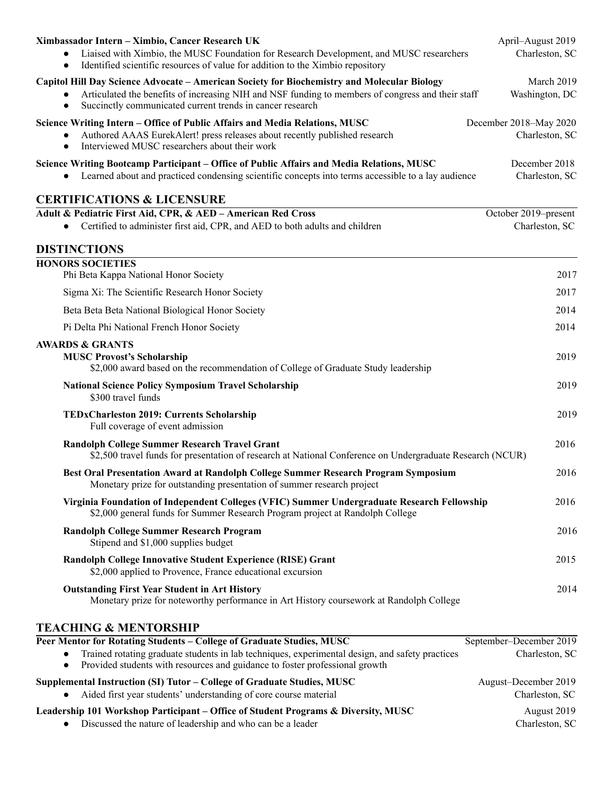| Ximbassador Intern - Ximbio, Cancer Research UK<br>Liaised with Ximbio, the MUSC Foundation for Research Development, and MUSC researchers<br>$\bullet$<br>Identified scientific resources of value for addition to the Ximbio repository<br>$\bullet$                                  | April-August 2019<br>Charleston, SC      |
|-----------------------------------------------------------------------------------------------------------------------------------------------------------------------------------------------------------------------------------------------------------------------------------------|------------------------------------------|
| Capitol Hill Day Science Advocate - American Society for Biochemistry and Molecular Biology<br>Articulated the benefits of increasing NIH and NSF funding to members of congress and their staff<br>$\bullet$<br>Succinctly communicated current trends in cancer research<br>$\bullet$ | March 2019<br>Washington, DC             |
| Science Writing Intern - Office of Public Affairs and Media Relations, MUSC<br>Authored AAAS EurekAlert! press releases about recently published research<br>Interviewed MUSC researchers about their work<br>$\bullet$                                                                 | December 2018-May 2020<br>Charleston, SC |
| Science Writing Bootcamp Participant - Office of Public Affairs and Media Relations, MUSC<br>Learned about and practiced condensing scientific concepts into terms accessible to a lay audience                                                                                         | December 2018<br>Charleston, SC          |
| <b>CERTIFICATIONS &amp; LICENSURE</b>                                                                                                                                                                                                                                                   |                                          |
| Adult & Pediatric First Aid, CPR, & AED - American Red Cross<br>Certified to administer first aid, CPR, and AED to both adults and children<br>$\bullet$                                                                                                                                | October 2019-present<br>Charleston, SC   |
| <b>DISTINCTIONS</b>                                                                                                                                                                                                                                                                     |                                          |
| <b>HONORS SOCIETIES</b><br>Phi Beta Kappa National Honor Society                                                                                                                                                                                                                        | 2017                                     |
| Sigma Xi: The Scientific Research Honor Society                                                                                                                                                                                                                                         | 2017                                     |
| Beta Beta Beta National Biological Honor Society                                                                                                                                                                                                                                        | 2014                                     |
| Pi Delta Phi National French Honor Society                                                                                                                                                                                                                                              | 2014                                     |
| <b>AWARDS &amp; GRANTS</b><br><b>MUSC Provost's Scholarship</b><br>\$2,000 award based on the recommendation of College of Graduate Study leadership                                                                                                                                    | 2019                                     |
| <b>National Science Policy Symposium Travel Scholarship</b><br>\$300 travel funds                                                                                                                                                                                                       | 2019                                     |
| <b>TEDxCharleston 2019: Currents Scholarship</b><br>Full coverage of event admission                                                                                                                                                                                                    | 2019                                     |
| <b>Randolph College Summer Research Travel Grant</b><br>\$2,500 travel funds for presentation of research at National Conference on Undergraduate Research (NCUR)                                                                                                                       | 2016                                     |
| Best Oral Presentation Award at Randolph College Summer Research Program Symposium<br>Monetary prize for outstanding presentation of summer research project                                                                                                                            | 2016                                     |
| Virginia Foundation of Independent Colleges (VFIC) Summer Undergraduate Research Fellowship<br>\$2,000 general funds for Summer Research Program project at Randolph College                                                                                                            | 2016                                     |
| <b>Randolph College Summer Research Program</b><br>Stipend and \$1,000 supplies budget                                                                                                                                                                                                  | 2016                                     |
| Randolph College Innovative Student Experience (RISE) Grant<br>\$2,000 applied to Provence, France educational excursion                                                                                                                                                                | 2015                                     |
| <b>Outstanding First Year Student in Art History</b><br>Monetary prize for noteworthy performance in Art History coursework at Randolph College                                                                                                                                         | 2014                                     |
| <b>TEACHING &amp; MENTORSHIP</b><br>Peer Mentor for Rotating Students - College of Graduate Studies, MUSC                                                                                                                                                                               | September-December 2019                  |

| Provided students with resources and guidance to foster professional growth        |                      |
|------------------------------------------------------------------------------------|----------------------|
| Supplemental Instruction (SI) Tutor – College of Graduate Studies, MUSC            | August-December 2019 |
| Aided first year students' understanding of core course material                   | Charleston, SC       |
| Leadership 101 Workshop Participant – Office of Student Programs & Diversity, MUSC | August 2019          |
| Discussed the nature of leadership and who can be a leader                         | Charleston, SC       |

● Trained rotating graduate students in lab techniques, experimental design, and safety practices Charleston, SC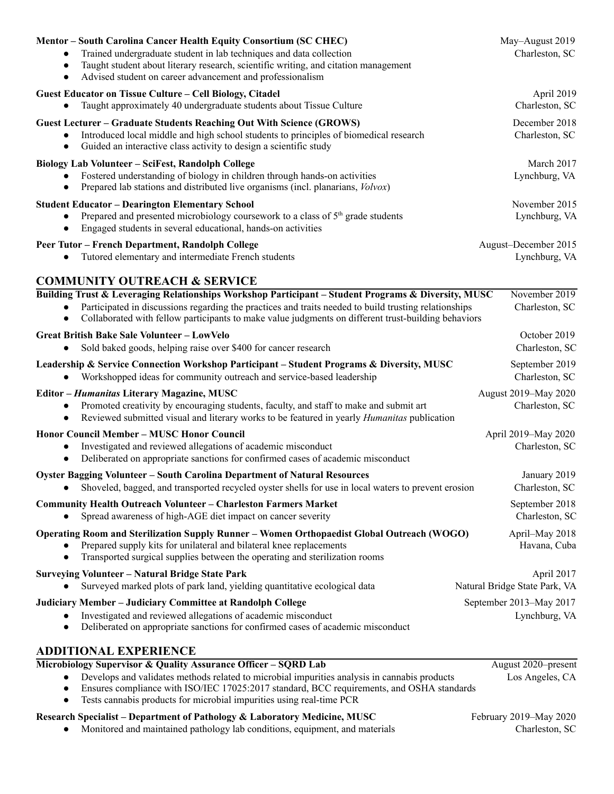| Mentor - South Carolina Cancer Health Equity Consortium (SC CHEC)<br>Trained undergraduate student in lab techniques and data collection<br>$\bullet$<br>Taught student about literary research, scientific writing, and citation management<br>$\bullet$<br>Advised student on career advancement and professionalism<br>$\bullet$ | May-August 2019<br>Charleston, SC           |
|-------------------------------------------------------------------------------------------------------------------------------------------------------------------------------------------------------------------------------------------------------------------------------------------------------------------------------------|---------------------------------------------|
| Guest Educator on Tissue Culture - Cell Biology, Citadel<br>Taught approximately 40 undergraduate students about Tissue Culture                                                                                                                                                                                                     | April 2019<br>Charleston, SC                |
| <b>Guest Lecturer – Graduate Students Reaching Out With Science (GROWS)</b><br>Introduced local middle and high school students to principles of biomedical research<br>$\bullet$<br>Guided an interactive class activity to design a scientific study<br>$\bullet$                                                                 | December 2018<br>Charleston, SC             |
| <b>Biology Lab Volunteer - SciFest, Randolph College</b><br>Fostered understanding of biology in children through hands-on activities<br>Prepared lab stations and distributed live organisms (incl. planarians, Volvox)                                                                                                            | March 2017<br>Lynchburg, VA                 |
| <b>Student Educator - Dearington Elementary School</b><br>Prepared and presented microbiology coursework to a class of 5 <sup>th</sup> grade students<br>Engaged students in several educational, hands-on activities<br>$\bullet$                                                                                                  | November 2015<br>Lynchburg, VA              |
| Peer Tutor - French Department, Randolph College<br>Tutored elementary and intermediate French students                                                                                                                                                                                                                             | August-December 2015<br>Lynchburg, VA       |
| <b>COMMUNITY OUTREACH &amp; SERVICE</b>                                                                                                                                                                                                                                                                                             |                                             |
| Building Trust & Leveraging Relationships Workshop Participant - Student Programs & Diversity, MUSC<br>Participated in discussions regarding the practices and traits needed to build trusting relationships<br>$\bullet$<br>Collaborated with fellow participants to make value judgments on different trust-building behaviors    | November 2019<br>Charleston, SC             |
| <b>Great British Bake Sale Volunteer - LowVelo</b><br>Sold baked goods, helping raise over \$400 for cancer research                                                                                                                                                                                                                | October 2019<br>Charleston, SC              |
| Leadership & Service Connection Workshop Participant - Student Programs & Diversity, MUSC<br>Workshopped ideas for community outreach and service-based leadership                                                                                                                                                                  | September 2019<br>Charleston, SC            |
| Editor - Humanitas Literary Magazine, MUSC<br>Promoted creativity by encouraging students, faculty, and staff to make and submit art<br>$\bullet$<br>Reviewed submitted visual and literary works to be featured in yearly <i>Humanitas</i> publication<br>$\bullet$                                                                | August 2019-May 2020<br>Charleston, SC      |
| Honor Council Member - MUSC Honor Council<br>Investigated and reviewed allegations of academic misconduct<br>Deliberated on appropriate sanctions for confirmed cases of academic misconduct<br>$\bullet$                                                                                                                           | April 2019-May 2020<br>Charleston, SC       |
| Oyster Bagging Volunteer - South Carolina Department of Natural Resources<br>Shoveled, bagged, and transported recycled oyster shells for use in local waters to prevent erosion                                                                                                                                                    | January 2019<br>Charleston, SC              |
| <b>Community Health Outreach Volunteer - Charleston Farmers Market</b><br>Spread awareness of high-AGE diet impact on cancer severity                                                                                                                                                                                               | September 2018<br>Charleston, SC            |
| Operating Room and Sterilization Supply Runner - Women Orthopaedist Global Outreach (WOGO)<br>Prepared supply kits for unilateral and bilateral knee replacements<br>Transported surgical supplies between the operating and sterilization rooms                                                                                    | April–May 2018<br>Havana, Cuba              |
| <b>Surveying Volunteer - Natural Bridge State Park</b><br>Surveyed marked plots of park land, yielding quantitative ecological data                                                                                                                                                                                                 | April 2017<br>Natural Bridge State Park, VA |
| Judiciary Member - Judiciary Committee at Randolph College<br>Investigated and reviewed allegations of academic misconduct<br>Deliberated on appropriate sanctions for confirmed cases of academic misconduct<br>٠                                                                                                                  | September 2013-May 2017<br>Lynchburg, VA    |
| <b>ADDITIONAL EXPERIENCE</b>                                                                                                                                                                                                                                                                                                        |                                             |
| Microbiology Supervisor & Quality Assurance Officer - SQRD Lab                                                                                                                                                                                                                                                                      | August 2020-present                         |
| Develops and validates methods related to microbial impurities analysis in cannabis products<br>$\bullet$<br>Ensures compliance with ISO/IEC 17025:2017 standard, BCC requirements, and OSHA standards<br>Tests cannabis products for microbial impurities using real-time PCR                                                      | Los Angeles, CA                             |

**Research Specialist – Department of Pathology & Laboratory Medicine, MUSC** February 2019–May 2020

● Monitored and maintained pathology lab conditions, equipment, and materials Charleston, SC